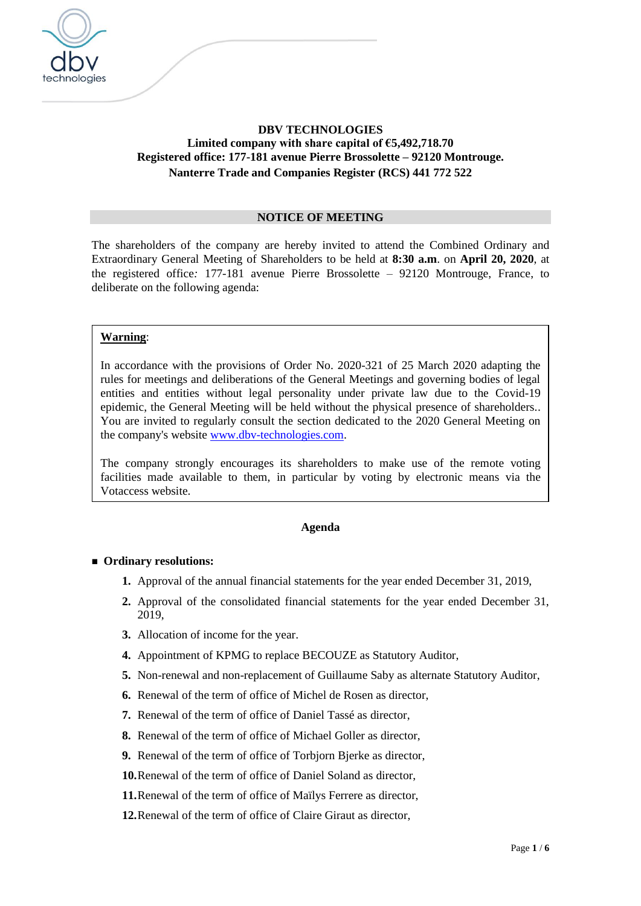

# **DBV TECHNOLOGIES Limited company with share capital of €5,492,718.70 Registered office: 177-181 avenue Pierre Brossolette – 92120 Montrouge. Nanterre Trade and Companies Register (RCS) 441 772 522**

#### **NOTICE OF MEETING**

The shareholders of the company are hereby invited to attend the Combined Ordinary and Extraordinary General Meeting of Shareholders to be held at **8:30 a.m**. on **April 20, 2020**, at the registered office*:* 177-181 avenue Pierre Brossolette – 92120 Montrouge, France, to deliberate on the following agenda:

#### **Warning**:

In accordance with the provisions of Order No. 2020-321 of 25 March 2020 adapting the rules for meetings and deliberations of the General Meetings and governing bodies of legal entities and entities without legal personality under private law due to the Covid-19 epidemic, the General Meeting will be held without the physical presence of shareholders.. You are invited to regularly consult the section dedicated to the 2020 General Meeting on the company's website [www.dbv-technologies.com.](http://www.dbv-technologies.com/)

The company strongly encourages its shareholders to make use of the remote voting facilities made available to them, in particular by voting by electronic means via the Votaccess website.

#### **Agenda**

#### ■ Ordinary resolutions:

- **1.** Approval of the annual financial statements for the year ended December 31, 2019,
- **2.** Approval of the consolidated financial statements for the year ended December 31, 2019,
- **3.** Allocation of income for the year.
- **4.** Appointment of KPMG to replace BECOUZE as Statutory Auditor,
- **5.** Non-renewal and non-replacement of Guillaume Saby as alternate Statutory Auditor,
- **6.** Renewal of the term of office of Michel de Rosen as director,
- **7.** Renewal of the term of office of Daniel Tassé as director,
- **8.** Renewal of the term of office of Michael Goller as director,
- **9.** Renewal of the term of office of Torbjorn Bjerke as director,

**10.**Renewal of the term of office of Daniel Soland as director,

- **11.**Renewal of the term of office of Maïlys Ferrere as director,
- **12.**Renewal of the term of office of Claire Giraut as director,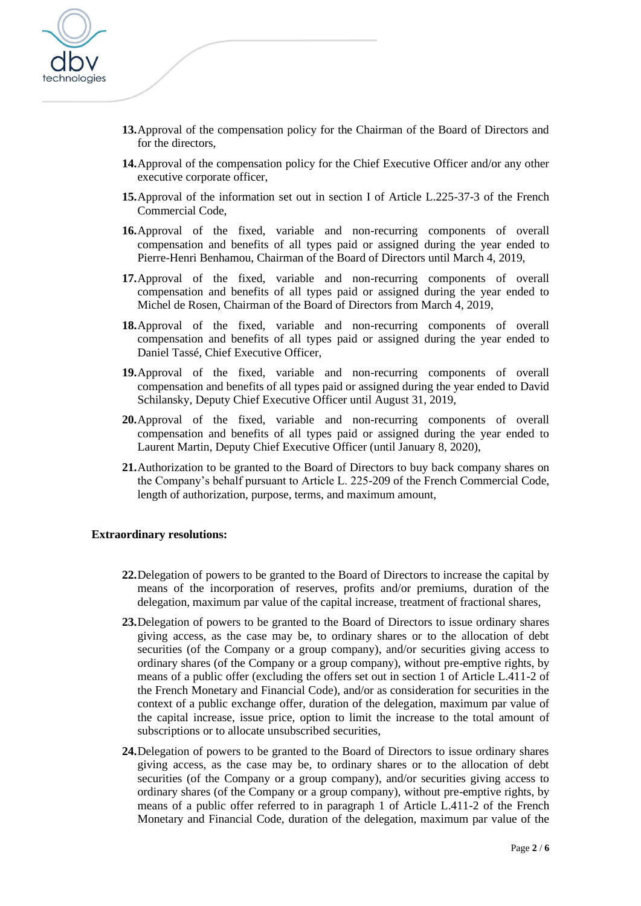

- **13.**Approval of the compensation policy for the Chairman of the Board of Directors and for the directors,
- **14.**Approval of the compensation policy for the Chief Executive Officer and/or any other executive corporate officer,
- **15.**Approval of the information set out in section I of Article L.225-37-3 of the French Commercial Code,
- **16.**Approval of the fixed, variable and non-recurring components of overall compensation and benefits of all types paid or assigned during the year ended to Pierre-Henri Benhamou, Chairman of the Board of Directors until March 4, 2019,
- **17.**Approval of the fixed, variable and non-recurring components of overall compensation and benefits of all types paid or assigned during the year ended to Michel de Rosen, Chairman of the Board of Directors from March 4, 2019,
- **18.**Approval of the fixed, variable and non-recurring components of overall compensation and benefits of all types paid or assigned during the year ended to Daniel Tassé, Chief Executive Officer,
- **19.**Approval of the fixed, variable and non-recurring components of overall compensation and benefits of all types paid or assigned during the year ended to David Schilansky, Deputy Chief Executive Officer until August 31, 2019,
- **20.**Approval of the fixed, variable and non-recurring components of overall compensation and benefits of all types paid or assigned during the year ended to Laurent Martin, Deputy Chief Executive Officer (until January 8, 2020),
- **21.**Authorization to be granted to the Board of Directors to buy back company shares on the Company's behalf pursuant to Article L. 225-209 of the French Commercial Code, length of authorization, purpose, terms, and maximum amount,

### **Extraordinary resolutions:**

- **22.**Delegation of powers to be granted to the Board of Directors to increase the capital by means of the incorporation of reserves, profits and/or premiums, duration of the delegation, maximum par value of the capital increase, treatment of fractional shares,
- **23.**Delegation of powers to be granted to the Board of Directors to issue ordinary shares giving access, as the case may be, to ordinary shares or to the allocation of debt securities (of the Company or a group company), and/or securities giving access to ordinary shares (of the Company or a group company), without pre-emptive rights, by means of a public offer (excluding the offers set out in section 1 of Article L.411-2 of the French Monetary and Financial Code), and/or as consideration for securities in the context of a public exchange offer, duration of the delegation, maximum par value of the capital increase, issue price, option to limit the increase to the total amount of subscriptions or to allocate unsubscribed securities,
- **24.**Delegation of powers to be granted to the Board of Directors to issue ordinary shares giving access, as the case may be, to ordinary shares or to the allocation of debt securities (of the Company or a group company), and/or securities giving access to ordinary shares (of the Company or a group company), without pre-emptive rights, by means of a public offer referred to in paragraph 1 of Article L.411-2 of the French Monetary and Financial Code, duration of the delegation, maximum par value of the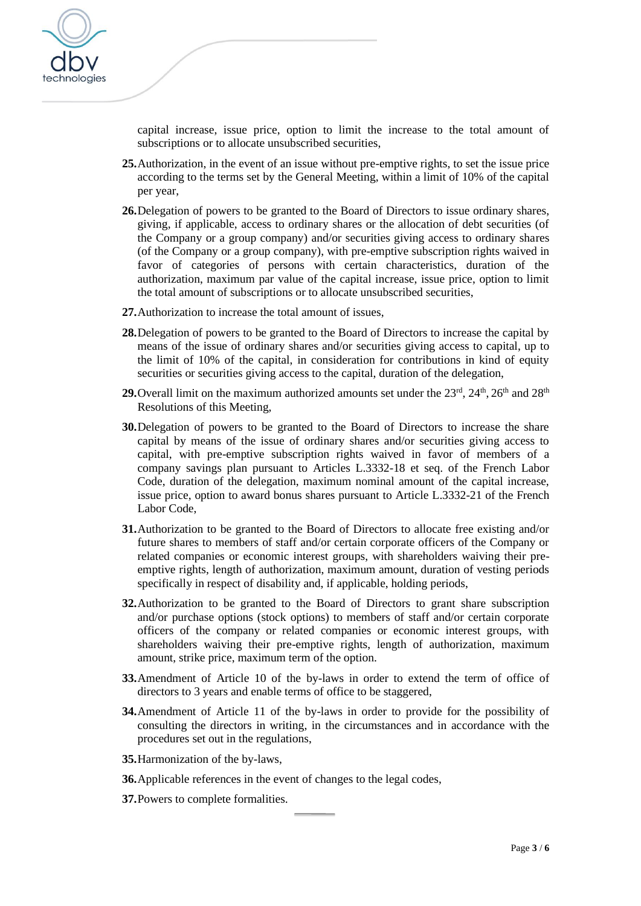

capital increase, issue price, option to limit the increase to the total amount of subscriptions or to allocate unsubscribed securities,

- **25.**Authorization, in the event of an issue without pre-emptive rights, to set the issue price according to the terms set by the General Meeting, within a limit of 10% of the capital per year,
- **26.**Delegation of powers to be granted to the Board of Directors to issue ordinary shares, giving, if applicable, access to ordinary shares or the allocation of debt securities (of the Company or a group company) and/or securities giving access to ordinary shares (of the Company or a group company), with pre-emptive subscription rights waived in favor of categories of persons with certain characteristics, duration of the authorization, maximum par value of the capital increase, issue price, option to limit the total amount of subscriptions or to allocate unsubscribed securities,
- **27.**Authorization to increase the total amount of issues,
- **28.**Delegation of powers to be granted to the Board of Directors to increase the capital by means of the issue of ordinary shares and/or securities giving access to capital, up to the limit of 10% of the capital, in consideration for contributions in kind of equity securities or securities giving access to the capital, duration of the delegation,
- **29.** Overall limit on the maximum authorized amounts set under the  $23<sup>rd</sup>$ ,  $24<sup>th</sup>$ ,  $26<sup>th</sup>$  and  $28<sup>th</sup>$ Resolutions of this Meeting,
- **30.**Delegation of powers to be granted to the Board of Directors to increase the share capital by means of the issue of ordinary shares and/or securities giving access to capital, with pre-emptive subscription rights waived in favor of members of a company savings plan pursuant to Articles L.3332-18 et seq. of the French Labor Code, duration of the delegation, maximum nominal amount of the capital increase, issue price, option to award bonus shares pursuant to Article L.3332-21 of the French Labor Code,
- **31.**Authorization to be granted to the Board of Directors to allocate free existing and/or future shares to members of staff and/or certain corporate officers of the Company or related companies or economic interest groups, with shareholders waiving their preemptive rights, length of authorization, maximum amount, duration of vesting periods specifically in respect of disability and, if applicable, holding periods,
- **32.**Authorization to be granted to the Board of Directors to grant share subscription and/or purchase options (stock options) to members of staff and/or certain corporate officers of the company or related companies or economic interest groups, with shareholders waiving their pre-emptive rights, length of authorization, maximum amount, strike price, maximum term of the option.
- **33.**Amendment of Article 10 of the by-laws in order to extend the term of office of directors to 3 years and enable terms of office to be staggered,
- **34.**Amendment of Article 11 of the by-laws in order to provide for the possibility of consulting the directors in writing, in the circumstances and in accordance with the procedures set out in the regulations,
- **35.**Harmonization of the by-laws,
- **36.**Applicable references in the event of changes to the legal codes,
- **37.**Powers to complete formalities.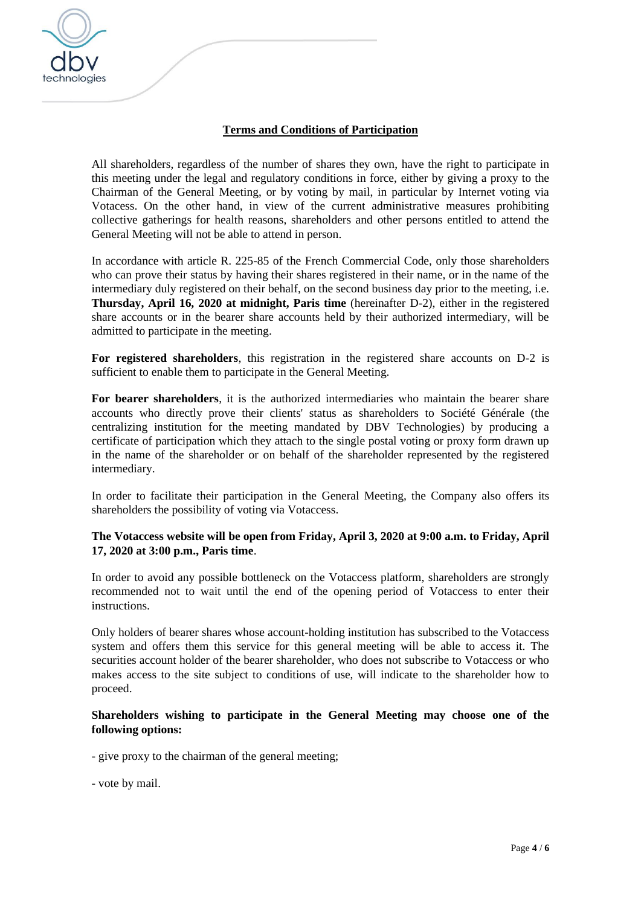

## **Terms and Conditions of Participation**

All shareholders, regardless of the number of shares they own, have the right to participate in this meeting under the legal and regulatory conditions in force, either by giving a proxy to the Chairman of the General Meeting, or by voting by mail, in particular by Internet voting via Votacess. On the other hand, in view of the current administrative measures prohibiting collective gatherings for health reasons, shareholders and other persons entitled to attend the General Meeting will not be able to attend in person.

In accordance with article R. 225-85 of the French Commercial Code, only those shareholders who can prove their status by having their shares registered in their name, or in the name of the intermediary duly registered on their behalf, on the second business day prior to the meeting, i.e. **Thursday, April 16, 2020 at midnight, Paris time** (hereinafter D-2), either in the registered share accounts or in the bearer share accounts held by their authorized intermediary, will be admitted to participate in the meeting.

**For registered shareholders**, this registration in the registered share accounts on D-2 is sufficient to enable them to participate in the General Meeting.

**For bearer shareholders**, it is the authorized intermediaries who maintain the bearer share accounts who directly prove their clients' status as shareholders to Société Générale (the centralizing institution for the meeting mandated by DBV Technologies) by producing a certificate of participation which they attach to the single postal voting or proxy form drawn up in the name of the shareholder or on behalf of the shareholder represented by the registered intermediary.

In order to facilitate their participation in the General Meeting, the Company also offers its shareholders the possibility of voting via Votaccess.

#### **The Votaccess website will be open from Friday, April 3, 2020 at 9:00 a.m. to Friday, April 17, 2020 at 3:00 p.m., Paris time**.

In order to avoid any possible bottleneck on the Votaccess platform, shareholders are strongly recommended not to wait until the end of the opening period of Votaccess to enter their instructions.

Only holders of bearer shares whose account-holding institution has subscribed to the Votaccess system and offers them this service for this general meeting will be able to access it. The securities account holder of the bearer shareholder, who does not subscribe to Votaccess or who makes access to the site subject to conditions of use, will indicate to the shareholder how to proceed.

#### **Shareholders wishing to participate in the General Meeting may choose one of the following options:**

- give proxy to the chairman of the general meeting;

- vote by mail.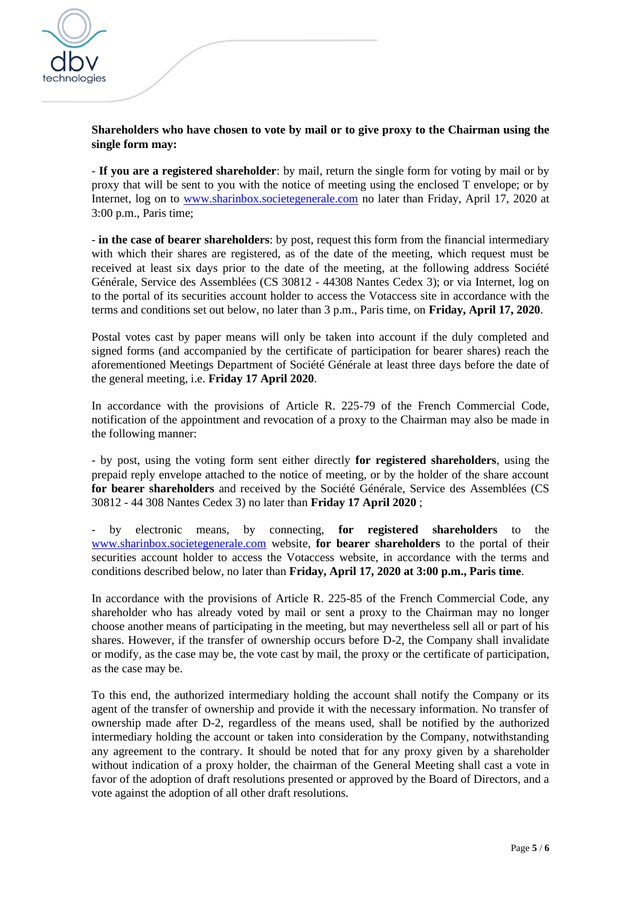

**Shareholders who have chosen to vote by mail or to give proxy to the Chairman using the single form may:**

- **If you are a registered shareholder**: by mail, return the single form for voting by mail or by proxy that will be sent to you with the notice of meeting using the enclosed T envelope; or by Internet, log on to [www.sharinbox.societegenerale.com](http://www.sharinbox.societegenerale.com/) no later than Friday, April 17, 2020 at 3:00 p.m., Paris time;

- **in the case of bearer shareholders**: by post, request this form from the financial intermediary with which their shares are registered, as of the date of the meeting, which request must be received at least six days prior to the date of the meeting, at the following address Société Générale, Service des Assemblées (CS 30812 - 44308 Nantes Cedex 3); or via Internet, log on to the portal of its securities account holder to access the Votaccess site in accordance with the terms and conditions set out below, no later than 3 p.m., Paris time, on **Friday, April 17, 2020**.

Postal votes cast by paper means will only be taken into account if the duly completed and signed forms (and accompanied by the certificate of participation for bearer shares) reach the aforementioned Meetings Department of Société Générale at least three days before the date of the general meeting, i.e. **Friday 17 April 2020**.

In accordance with the provisions of Article R. 225-79 of the French Commercial Code, notification of the appointment and revocation of a proxy to the Chairman may also be made in the following manner:

- by post, using the voting form sent either directly **for registered shareholders**, using the prepaid reply envelope attached to the notice of meeting, or by the holder of the share account **for bearer shareholders** and received by the Société Générale, Service des Assemblées (CS 30812 - 44 308 Nantes Cedex 3) no later than **Friday 17 April 2020** ;

- by electronic means, by connecting, **for registered shareholders** to the [www.sharinbox.societegenerale.com](http://www.sharinbox.societegenerale.com/) website, **for bearer shareholders** to the portal of their securities account holder to access the Votaccess website, in accordance with the terms and conditions described below, no later than **Friday, April 17, 2020 at 3:00 p.m., Paris time**.

In accordance with the provisions of Article R. 225-85 of the French Commercial Code, any shareholder who has already voted by mail or sent a proxy to the Chairman may no longer choose another means of participating in the meeting, but may nevertheless sell all or part of his shares. However, if the transfer of ownership occurs before D-2, the Company shall invalidate or modify, as the case may be, the vote cast by mail, the proxy or the certificate of participation, as the case may be.

To this end, the authorized intermediary holding the account shall notify the Company or its agent of the transfer of ownership and provide it with the necessary information. No transfer of ownership made after D-2, regardless of the means used, shall be notified by the authorized intermediary holding the account or taken into consideration by the Company, notwithstanding any agreement to the contrary. It should be noted that for any proxy given by a shareholder without indication of a proxy holder, the chairman of the General Meeting shall cast a vote in favor of the adoption of draft resolutions presented or approved by the Board of Directors, and a vote against the adoption of all other draft resolutions.